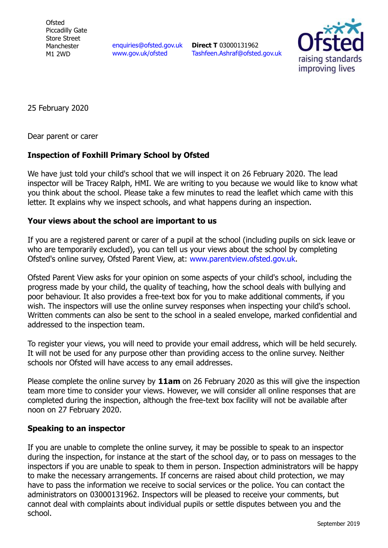**Ofsted** Piccadilly Gate Store Street Manchester M1 2WD

[enquiries@ofsted.gov.uk](mailto:enquiries@ofsted.gov.uk) [www.gov.uk/ofsted](http://www.gov.uk/ofsted)

**Direct T** 03000131962 [Tashfeen.Ashraf@ofsted.gov.uk](mailto:Tashfeen.Ashraf@ofsted.gov.uk)



25 February 2020

Dear parent or carer

## **Inspection of Foxhill Primary School by Ofsted**

We have just told your child's school that we will inspect it on 26 February 2020. The lead inspector will be Tracey Ralph, HMI. We are writing to you because we would like to know what you think about the school. Please take a few minutes to read the leaflet which came with this letter. It explains why we inspect schools, and what happens during an inspection.

## **Your views about the school are important to us**

If you are a registered parent or carer of a pupil at the school (including pupils on sick leave or who are temporarily excluded), you can tell us your views about the school by completing Ofsted's online survey, Ofsted Parent View, at: [www.parentview.ofsted.gov.uk.](http://www.parentview.ofsted.gov.uk/)

Ofsted Parent View asks for your opinion on some aspects of your child's school, including the progress made by your child, the quality of teaching, how the school deals with bullying and poor behaviour. It also provides a free-text box for you to make additional comments, if you wish. The inspectors will use the online survey responses when inspecting your child's school. Written comments can also be sent to the school in a sealed envelope, marked confidential and addressed to the inspection team.

To register your views, you will need to provide your email address, which will be held securely. It will not be used for any purpose other than providing access to the online survey. Neither schools nor Ofsted will have access to any email addresses.

Please complete the online survey by **11am** on 26 February 2020 as this will give the inspection team more time to consider your views. However, we will consider all online responses that are completed during the inspection, although the free-text box facility will not be available after noon on 27 February 2020.

## **Speaking to an inspector**

If you are unable to complete the online survey, it may be possible to speak to an inspector during the inspection, for instance at the start of the school day, or to pass on messages to the inspectors if you are unable to speak to them in person. Inspection administrators will be happy to make the necessary arrangements. If concerns are raised about child protection, we may have to pass the information we receive to social services or the police. You can contact the administrators on 03000131962. Inspectors will be pleased to receive your comments, but cannot deal with complaints about individual pupils or settle disputes between you and the school.